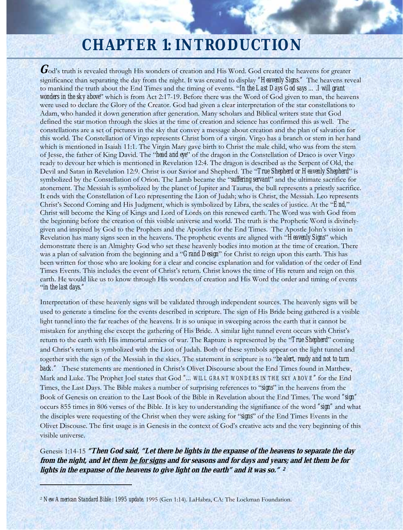# **CHAPTER 1: INTRODUCTION**

God's truth is revealed through His wonders of creation and His Word. God created the heavens for greater significance than separating the day from the night. It was created to display *"Heavenly Signs."* The heavens reveal to mankind the truth about the End Times and the timing of events. "*In the Last Days God says ….I will grant wonders in the sky above*" which is from Act 2:17-19. Before there was the Word of God given to man, the heavens were used to declare the Glory of the Creator. God had given a clear interpretation of the star constellations to Adam, who handed it down generation after generation. Many scholars and Biblical writers state that God defined the star motion through the skies at the time of creation and science has confirmed this as well. The constellations are a set of pictures in the sky that convey a message about creation and the plan of salvation for this world. The Constellation of Virgo represents Christ born of a virgin. Virgo has a branch or stem in her hand which is mentioned in Isaiah 11:1. The Virgin Mary gave birth to Christ the male child, who was from the stem of Jesse, the father of King David. The "*head and eye*" of the dragon in the Constellation of Draco is over Virgo ready to devour her which is mentioned in Revelation 12:4. The dragon is described as the Serpent of Old, the Devil and Satan in Revelation 12:9. Christ is our Savior and Shepherd. The "*True Shepherd or Heavenly Shepherd*" is symbolized by the Constellation of Orion. The Lamb became the "*suffering servant*" and the ultimate sacrifice for atonement. The Messiah is symbolized by the planet of Jupiter and Taurus, the bull represents a priestly sacrifice. It ends with the Constellation of Leo representing the Lion of Judah; who is Christ, the Messiah. Leo represents Christ's Second Coming and His Judgment, which is symbolized by Libra, the scales of justice. At the "*End,*" Christ will become the King of Kings and Lord of Lords on this renewed earth. The Word was with God from the beginning before the creation of this visible universe and world. The truth is the Prophetic Word is divinelygiven and inspired by God to the Prophets and the Apostles for the End Times. The Apostle John's vision in Revelation has many signs seen in the heavens. The prophetic events are aligned with "*Heavenly Signs*" which demonstrate there is an Almighty God who set these heavenly bodies into motion at the time of creation. There was a plan of salvation from the beginning and a "*Grand Design*" for Christ to reign upon this earth. This has been written for those who are looking for a clear and concise explanation and for validation of the order of End Times Events. This includes the event of Christ's return. Christ knows the time of His return and reign on this earth. He would like us to know through His wonders of creation and His Word the order and timing of events "*in the last days."*

Interpretation of these heavenly signs will be validated through independent sources. The heavenly signs will be used to generate a timeline for the events described in scripture. The sign of His Bride being gathered is a visible light tunnel into the far reaches of the heavens. It is so unique in sweeping across the earth that it cannot be mistaken for anything else except the gathering of His Bride. A similar light tunnel event occurs with Christ's return to the earth with His immortal armies of war. The Rapture is represented by the "*True Shepherd*" coming and Christ's return is symbolized with the Lion of Judah. Both of these symbols appear on the light tunnel and together with the sign of the Messiah in the skies. The statement in scripture is to "*be alert, ready and not to turn back."* These statements are mentioned in Christ's Olivet Discourse about the End Times found in Matthew, Mark and Luke. The Prophet Joel states that God *"…WILL GRANT WONDERS IN THE SKY ABOVE"* for the End Times, the Last Days. The Bible makes a number of surprising references to "*signs*" in the heavens from the Book of Genesis on creation to the Last Book of the Bible in Revelation about the End Times. The word *"sign"* occurs 855 times in 806 verses of the Bible. It is key to understanding the signifiance of the word *"sign"* and what the disciples were requesting of the Christ when they were asking for "*signs*" of the End Times Events in the Olivet Discouse. The first usage is in Genesis in the context of God's creative acts and the very beginning of this visible universe.

Genesis 1:14-15 **"Then God said, "Let there be lights in the expanse of the heavens to separate the day from the night, and let them be for signs and for seasons and for days and years; and let them be for lights in the expanse of the heavens to give light on the earth" and it was so." <sup>2</sup>**

<sup>2</sup> *New American Standard Bible : 1995 update*. 1995 (Gen 1:14). LaHabra, CA: The Lockman Foundation.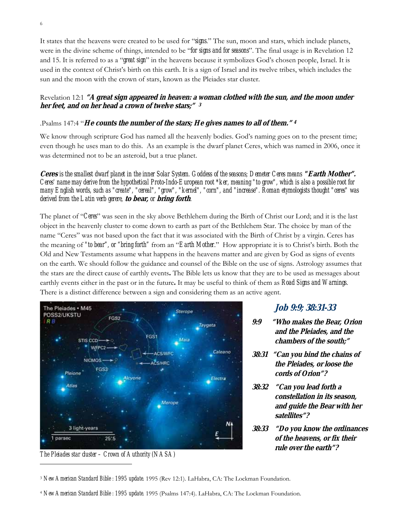It states that the heavens were created to be used for "*signs*." The sun, moon and stars, which include planets, were in the divine scheme of things, intended to be "*for signs and for seasons*". The final usage is in Revelation 12 and 15. It is referred to as a "*great sign*" in the heavens because it symbolizes God's chosen people, Israel. It is used in the context of Christ's birth on this earth. It is a sign of Israel and its twelve tribes, which includes the sun and the moon with the crown of stars, known as the Pleiades star cluster.

#### Revelation 12:1 **"A great sign appeared in heaven: a woman clothed with the sun, and the moon under her feet, and on her head a crown of twelve stars;" <sup>3</sup>**

#### .Psalms 147:4 "**He counts the number of the stars; He gives names to all of them." <sup>4</sup>**

We know through scripture God has named all the heavenly bodies. God's naming goes on to the present time; even though he uses man to do this. As an example is the dwarf planet Ceres, which was named in 2006, once it was determined not to be an asteroid, but a true planet.

**Ceres** *is the smallest dwarf planet in the inner Solar System. Goddess of the seasons; Demeter Ceres means* **"Earth Mother".** *Ceres' name may derive from the hypothetical Proto-Indo-European root \*ker, meaning "to grow", which is also a possible root for many English words, such as "create", "cereal", "grow", "kernel", "corn", and "increase". Roman etymologists thought "ceres" was derived from the Latin verb gerere,* **to bear,** *or* **bring forth***.* 

The planet of "*Ceres*" was seen in the sky above Bethlehem during the Birth of Christ our Lord; and it is the last object in the heavenly cluster to come down to earth as part of the Bethlehem Star. The choice by man of the name "Ceres" was not based upon the fact that it was associated with the Birth of Christ by a virgin. Ceres has the meaning of *"to bear", or "bring forth"* from an "*Earth Mother*." How appropriate it is to Christ's birth. Both the Old and New Testaments assume what happens in the heavens matter and are given by God as signs of events on the earth. We should follow the guidance and counsel of the Bible on the use of signs. Astrology assumes that the stars are the direct cause of earthly events**.** The Bible lets us know that they are to be used as messages about earthly events either in the past or in the future**.** It may be useful to think of them as *Road Signs and Warnings*. There is a distinct difference between a sign and considering them as an active agent.



*The Pleiades star cluster – Crown of Authority (NASA)* 

#### **Job 9:9; 38:31-33**

**9:9 "Who makes the Bear, Orion and the Pleiades, and the chambers of the south;"** 

- **38:31 "Can you bind the chains of the Pleiades, or loose the cords of Orion"?**
- **38:32 "Can you lead forth a constellation in its season, and guide the Bear with her satellites"?**
- **rule over the earth"? 38:33 "Do you know the ordinances of the heavens, or fix their**

<sup>3</sup> *New American Standard Bible : 1995 update*. 1995 (Rev 12:1). LaHabra, CA: The Lockman Foundation.

<sup>4</sup> *New American Standard Bible : 1995 update*. 1995 (Psalms 147:4). LaHabra, CA: The Lockman Foundation.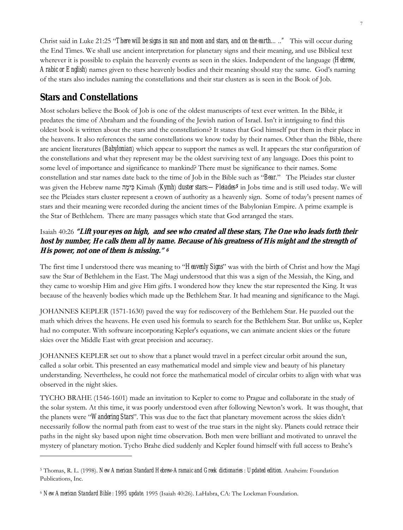Christ said in Luke 21:25 "*There will be signs in sun and moon and stars, and on the earth….."* This will occur during the End Times. We shall use ancient interpretation for planetary signs and their meaning, and use Biblical text wherever it is possible to explain the heavenly events as seen in the skies. Independent of the language (*Hebrew, Arabic or English*) names given to these heavenly bodies and their meaning should stay the same. God's naming of the stars also includes naming the constellations and their star clusters as is seen in the Book of Job.

# **Stars and Constellations**

Most scholars believe the Book of Job is one of the oldest manuscripts of text ever written. In the Bible, it predates the time of Abraham and the founding of the Jewish nation of Israel. Isn't it intriguing to find this oldest book is written about the stars and the constellations? It states that God himself put them in their place in the heavens. It also references the same constellations we know today by their names. Other than the Bible, there are ancient literatures *(Babylonian*) which appear to support the names as well. It appears the star configuration of the constellations and what they represent may be the oldest surviving text of any language. Does this point to some level of importance and significance to mankind? There must be significance to their names. Some constellation and star names date back to the time of Job in the Bible such as "*Bear*." The Pleiades star cluster was given the Hebrew name הָימִכּ Kimah (*Kymh*) *cluster stars:—Pleiades***5** in Jobs time and is still used today. We will see the Pleiades stars cluster represent a crown of authority as a heavenly sign. Some of today's present names of stars and their meaning were recorded during the ancient times of the Babylonian Empire. A prime example is the Star of Bethlehem. There are many passages which state that God arranged the stars.

## Isaiah 40:26 **"Lift your eyes on high, and see who created all these stars, The One who leads forth their host by number, He calls them all by name. Because of his greatness of His might and the strength of His power, not one of them is missing." <sup>6</sup>**

The first time I understood there was meaning to "*Heavenly Signs*" was with the birth of Christ and how the Magi saw the Star of Bethlehem in the East. The Magi understood that this was a sign of the Messiah, the King, and they came to worship Him and give Him gifts. I wondered how they knew the star represented the King. It was because of the heavenly bodies which made up the Bethlehem Star. It had meaning and significance to the Magi.

JOHANNES KEPLER (1571-1630) paved the way for rediscovery of the Bethlehem Star. He puzzled out the math which drives the heavens. He even used his formula to search for the Bethlehem Star. But unlike us, Kepler had no computer. With software incorporating Kepler's equations, we can animate ancient skies or the future skies over the Middle East with great precision and accuracy.

JOHANNES KEPLER set out to show that a planet would travel in a perfect circular orbit around the sun, called a solar orbit. This presented an easy mathematical model and simple view and beauty of his planetary understanding. Nevertheless, he could not force the mathematical model of circular orbits to align with what was observed in the night skies.

TYCHO BRAHE (1546-1601) made an invitation to Kepler to come to Prague and collaborate in the study of the solar system. At this time, it was poorly understood even after following Newton's work. It was thought, that the planets were "*Wandering Stars*". This was due to the fact that planetary movement across the skies didn't necessarily follow the normal path from east to west of the true stars in the night sky. Planets could retrace their paths in the night sky based upon night time observation. Both men were brilliant and motivated to unravel the mystery of planetary motion. Tycho Brahe died suddenly and Kepler found himself with full access to Brahe's

<sup>5</sup> Thomas, R. L. (1998). *New American Standard Hebrew-Aramaic and Greek dictionaries : Updated edition*. Anaheim: Foundation Publications, Inc.

<sup>6</sup> *New American Standard Bible : 1995 update*. 1995 (Isaiah 40:26). LaHabra, CA: The Lockman Foundation.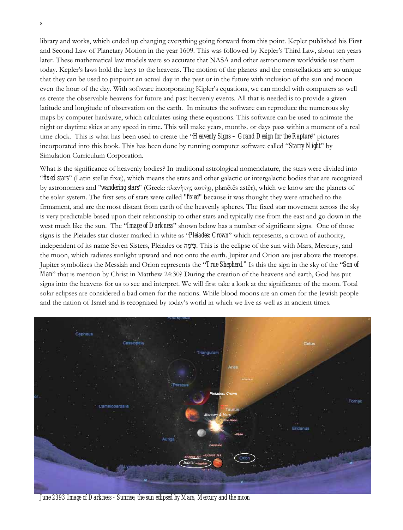library and works, which ended up changing everything going forward from this point. Kepler published his First and Second Law of Planetary Motion in the year 1609. This was followed by Kepler's Third Law, about ten years later. These mathematical law models were so accurate that NASA and other astronomers worldwide use them today. Kepler's laws hold the keys to the heavens. The motion of the planets and the constellations are so unique that they can be used to pinpoint an actual day in the past or in the future with inclusion of the sun and moon even the hour of the day. With software incorporating Kipler's equations, we can model with computers as well as create the observable heavens for future and past heavenly events. All that is needed is to provide a given latitude and longitude of observation on the earth. In minutes the software can reproduce the numerous sky maps by computer hardware, which calculates using these equations. This software can be used to animate the night or daytime skies at any speed in time. This will make years, months, or days pass within a moment of a real time clock. This is what has been used to create the "*Heavenly Signs – Grand Design for the Rapture*" pictures incorporated into this book. This has been done by running computer software called "*Starry Night*" by Simulation Curriculum Corporation.

What is the significance of heavenly bodies? In traditional astrological nomenclature, the stars were divided into "*fixed stars*" (Latin stellæ fixæ), which means the stars and other galactic or intergalactic bodies that are recognized by astronomers and "*wandering stars*" (Greek: πλανήτης αστήρ, planētēs astēr), which we know are the planets of the solar system. The first sets of stars were called "*fixed*" because it was thought they were attached to the firmament, and are the most distant from earth of the heavenly spheres. The fixed star movement across the sky is very predictable based upon their relationship to other stars and typically rise from the east and go down in the west much like the sun. The "*Image of Darkness*" shown below has a number of significant signs. One of those signs is the Pleiades star cluster marked in white as "*Pleiades: Crown*" which represents, a crown of authority, independent of its name Seven Sisters, Pleiades or הָימִכּ. This is the eclipse of the sun with Mars, Mercury, and the moon, which radiates sunlight upward and not onto the earth. Jupiter and Orion are just above the treetops. Jupiter symbolizes the Messiah and Orion represents the "*True Shepherd."* Is this the sign in the sky of the "*Son of Man*" that is mention by Christ in Matthew 24:30? During the creation of the heavens and earth, God has put signs into the heavens for us to see and interpret. We will first take a look at the significance of the moon. Total solar eclipses are considered a bad omen for the nations. While blood moons are an omen for the Jewish people and the nation of Israel and is recognized by today's world in which we live as well as in ancient times.



*June 2393 Image of Darkness - Sunrise, the sun eclipsed by Mars, Mercury and the moon*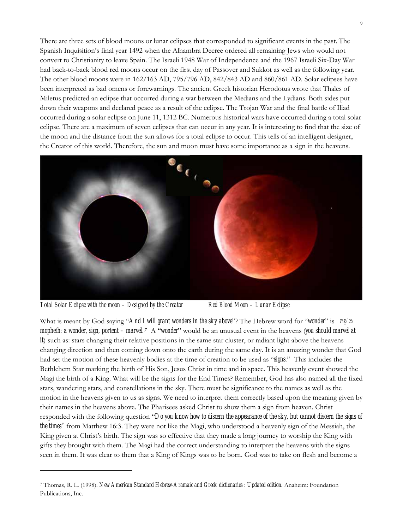There are three sets of blood moons or lunar eclipses that corresponded to significant events in the past. The Spanish Inquisition's final year 1492 when the Alhambra Decree ordered all remaining Jews who would not convert to Christianity to leave Spain. The Israeli 1948 War of Independence and the 1967 Israeli Six-Day War had back-to-back blood red moons occur on the first day of Passover and Sukkot as well as the following year. The other blood moons were in 162/163 AD, 795/796 AD, 842/843 AD and 860/861 AD. Solar eclipses have been interpreted as bad omens or forewarnings. The ancient Greek historian Herodotus wrote that Thales of Miletus predicted an eclipse that occurred during a war between the Medians and the Lydians. Both sides put down their weapons and declared peace as a result of the eclipse. The Trojan War and the final battle of Iliad occurred during a solar eclipse on June 11, 1312 BC. Numerous historical wars have occurred during a total solar eclipse. There are a maximum of seven eclipses that can occur in any year. It is interesting to find that the size of the moon and the distance from the sun allows for a total eclipse to occur. This tells of an intelligent designer, the Creator of this world. Therefore, the sun and moon must have some importance as a sign in the heavens.



*Total Solar Eclipse with the moon – Designed by the Creator Red Blood Moon – Lunar Eclipse*

What is meant by God saying "*And I will grant wonders in the sky above*"? The Hebrew word for "*wonder*" is תֵפֹמ mopheth: a wonder, sign, portent – marvel.<sup>7</sup> A "wonder" would be an unusual event in the heavens (you should marvel at *it*) such as: stars changing their relative positions in the same star cluster, or radiant light above the heavens changing direction and then coming down onto the earth during the same day. It is an amazing wonder that God had set the motion of these heavenly bodies at the time of creation to be used as "*signs*." This includes the Bethlehem Star marking the birth of His Son, Jesus Christ in time and in space. This heavenly event showed the Magi the birth of a King. What will be the signs for the End Times? Remember, God has also named all the fixed stars, wandering stars, and constellations in the sky. There must be significance to the names as well as the motion in the heavens given to us as signs. We need to interpret them correctly based upon the meaning given by their names in the heavens above. The Pharisees asked Christ to show them a sign from heaven. Christ responded with the following question "*Do you know how to discern the appearance of the sky, but cannot discern the signs of the times"* from Matthew 16:3. They were not like the Magi, who understood a heavenly sign of the Messiah, the King given at Christ's birth. The sign was so effective that they made a long journey to worship the King with gifts they brought with them. The Magi had the correct understanding to interpret the heavens with the signs seen in them. It was clear to them that a King of Kings was to be born. God was to take on flesh and become a

<sup>7</sup> Thomas, R. L. (1998). *New American Standard Hebrew-Aramaic and Greek dictionaries : Updated edition*. Anaheim: Foundation Publications, Inc.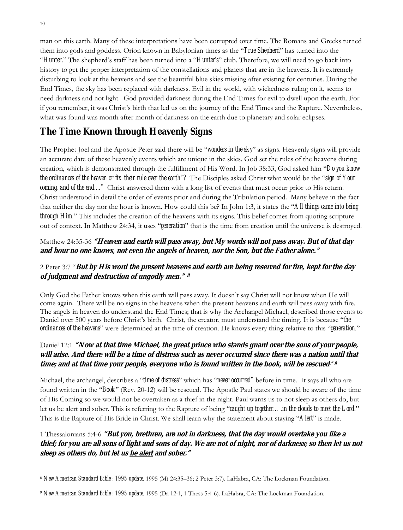man on this earth. Many of these interpretations have been corrupted over time. The Romans and Greeks turned them into gods and goddess. Orion known in Babylonian times as the "*True Shepherd*" has turned into the "*Hunter*." The shepherd's staff has been turned into a "*Hunter's*" club. Therefore, we will need to go back into history to get the proper interpretation of the constellations and planets that are in the heavens. It is extremely disturbing to look at the heavens and see the beautiful blue skies missing after existing for centuries. During the End Times, the sky has been replaced with darkness. Evil in the world, with wickedness ruling on it, seems to need darkness and not light. God provided darkness during the End Times for evil to dwell upon the earth. For if you remember, it was Christ's birth that led us on the journey of the End Times and the Rapture. Nevertheless, what was found was month after month of darkness on the earth due to planetary and solar eclipses.

# **The Time Known through Heavenly Signs**

The Prophet Joel and the Apostle Peter said there will be "*wonders in the sky*" as signs. Heavenly signs will provide an accurate date of these heavenly events which are unique in the skies. God set the rules of the heavens during creation, which is demonstrated through the fulfillment of His Word. In Job 38:33, God asked him "*Do you know the ordinances of the heaven or fix their rule over the earth"?* The Disciples asked Christ what would be the "*sign of Your*  coming, and of the end...." Christ answered them with a long list of events that must occur prior to His return. Christ understood in detail the order of events prior and during the Tribulation period. Many believe in the fact that neither the day nor the hour is known. How could this be? In John 1:3, it states the "*All things came into being through Him.*" This includes the creation of the heavens with its signs. This belief comes from quoting scripture out of context. In Matthew 24:34, it uses "*generation*" that is the time from creation until the universe is destroyed.

## Matthew 24:35-36 **"Heaven and earth will pass away, but My words will not pass away. But of that day and hour no one knows, not even the angels of heaven, nor the Son, but the Father alone."**

### 2 Peter 3:7 "**But by His word the present heavens and earth are being reserved for fire, kept for the day of judgment and destruction of ungodly men."<sup>8</sup>**

Only God the Father knows when this earth will pass away. It doesn't say Christ will not know when He will come again. There will be no signs in the heavens when the present heavens and earth will pass away with fire. The angels in heaven do understand the End Times; that is why the Archangel Michael, described those events to Daniel over 500 years before Christ's birth. Christ, the creator, must understand the timing. It is because "*the ordinances of the heavens*" were determined at the time of creation. He knows every thing relative to this "*generation*."

### Daniel 12:1 **"Now at that time Michael, the great prince who stands guard over the sons of your people, will arise. And there will be a time of distress such as never occurred since there was a nation until that time; and at that time your people, everyone who is found written in the book, will be rescued." 9**

Michael, the archangel, describes a "*time of distress*" which has "*never occurred"* before in time. It says all who are found written in the "*Book*" (Rev. 20-12) will be rescued. The Apostle Paul states we should be aware of the time of His Coming so we would not be overtaken as a thief in the night. Paul warns us to not sleep as others do, but let us be alert and sober. This is referring to the Rapture of being "*caught up together…*.*in the clouds to meet the Lord*." This is the Rapture of His Bride in Christ. We shall learn why the statement about staying "*Alert*" is made.

1 Thessalonians 5:4-6 **"But you, brethren, are not in darkness, that the day would overtake you like a thief; for you are all sons of light and sons of day. We are not of night, nor of darkness; so then let us not sleep as others do, but let us be alert and sober."** 

<sup>8</sup> *New American Standard Bible : 1995 update*. 1995 (Mt 24:35–36; 2 Peter 3:7). LaHabra, CA: The Lockman Foundation.

<sup>9</sup> *New American Standard Bible : 1995 update*. 1995 (Da 12:1, 1 Thess 5:4-6). LaHabra, CA: The Lockman Foundation.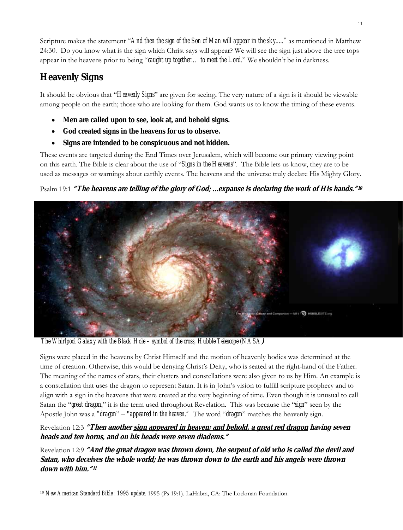Scripture makes the statement "*And then the sign of the Son of Man will appear in the sky....."* as mentioned in Matthew 24:30. Do you know what is the sign which Christ says will appear? We will see the sign just above the tree tops appear in the heavens prior to being "*caught up together… to meet the Lord*." We shouldn't be in darkness.

# **Heavenly Signs**

It should be obvious that "*Heavenly Signs*" are given for seeing**.** The very nature of a sign is it should be viewable among people on the earth; those who are looking for them. God wants us to know the timing of these events.

- **Men are called upon to see, look at, and behold signs.**
- **God created signs in the heavens for us to observe.**
- **Signs are intended to be conspicuous and not hidden.**

These events are targeted during the End Times over Jerusalem, which will become our primary viewing point on this earth. The Bible is clear about the use of "*Signs in the Heavens*". The Bible lets us know, they are to be used as messages or warnings about earthly events. The heavens and the universe truly declare His Mighty Glory.

# Psalm 19:1 **"The heavens are telling of the glory of God; ...expanse is declaring the work of His hands."<sup>10</sup>**



*The Whirlpool Galaxy with the Black Hole – symbol of the cross, Hubble Telescope (NASA***)** 

Signs were placed in the heavens by Christ Himself and the motion of heavenly bodies was determined at the time of creation. Otherwise, this would be denying Christ's Deity, who is seated at the right-hand of the Father. The meaning of the names of stars, their clusters and constellations were also given to us by Him. An example is a constellation that uses the dragon to represent Satan. It is in John's vision to fulfill scripture prophecy and to align with a sign in the heavens that were created at the very beginning of time. Even though it is unusual to call Satan the "*great dragon*," it is the term used throughout Revelation. This was because the "*sign*" seen by the Apostle John was a *"dragon*" – "*appeared in the heaven."* The word "*dragon*" matches the heavenly sign.

Revelation 12:3 **"Then another sign appeared in heaven: and behold, a great red dragon having seven heads and ten horns, and on his heads were seven diadems."** 

Revelation 12:9 **"And the great dragon was thrown down, the serpent of old who is called the devil and Satan, who deceives the whole world; he was thrown down to the earth and his angels were thrown down with him."<sup>11</sup>**

<sup>10</sup> *New American Standard Bible : 1995 update*. 1995 (Ps 19:1). LaHabra, CA: The Lockman Foundation.